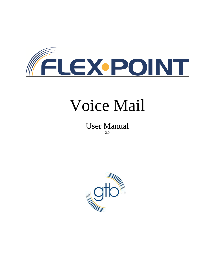

# Voice Mail

User Manual 2.0

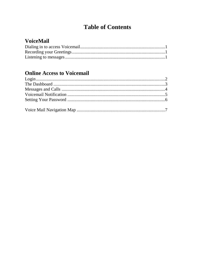## **Table of Contents**

## **VoiceMail**

## **Online Access to Voicemail**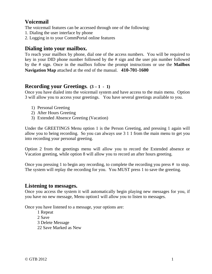### **Voicemail**

The voicemail features can be accessed through one of the following:

- 1. Dialing the user interface by phone
- 2. Logging in to your CommPortal online features

#### **Dialing into your mailbox.**

To reach your mailbox by phone, dial one of the access numbers. You will be required to key in your DID phone number followed by the # sign and the user pin number followed by the # sign. Once in the mailbox follow the prompt instructions or use the **Mailbox Navigation Map** attached at the end of the manual. **410-701-1600**

#### **Recording your Greetings. (3 – 1 - 1)**

Once you have dialed into the voicemail system and have access to the main menu. Option 3 will allow you to access your greetings. You have several greetings available to you.

- 1) Personal Greeting
- 2) After Hours Greeting
- 3) Extended Absence Greeting (Vacation)

Under the GREETINGS Menu option 1 is the Person Greeting, and pressing 1 again will allow you to being recording. So you can always use 3 1 1 from the main menu to get you into recording your personal greeting.

Option 2 from the greetings menu will allow you to record the Extended absence or Vacation greeting, while option 8 will allow you to record an after hours greeting.

Once you pressing 1 to begin any recording, to complete the recording you press # to stop. The system will replay the recording for you. You MUST press 1 to save the greeting.

#### **Listening to messages.**

Once you access the system it will automatically begin playing new messages for you, if you have no new message, Menu option1 will allow you to listen to messages.

Once you have listened to a message, your options are:

 1 Repeat 2 Save 3 Delete Message 22 Save Marked as New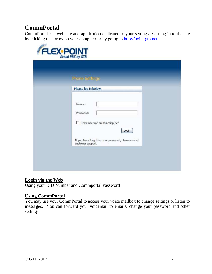## **CommPortal**

CommPortal is a web site and application dedicated to your settings. You log in to the site by clicking the arrow on your computer or by going to http://point.gtb.net.

| <b>Phone Settings</b>                                                    |  |
|--------------------------------------------------------------------------|--|
| Please log in below.                                                     |  |
| Number:<br>Password:<br>$\Box$ Remember me on this computer<br>Login     |  |
| If you have forgotten your password, please contact<br>customer support. |  |

#### **Login via the Web**

Using your DID Number and Commportal Password

#### **Using CommPortal**

You may use your CommPortal to access your voice mailbox to change settings or listen to messages. You can forward your voicemail to emails, change your password and other settings.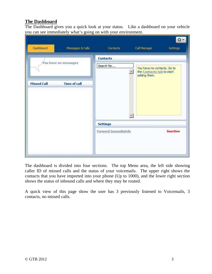#### **The Dashboard**

The Dashboard gives you a quick look at your status. Like a dashboard on your vehicle you can see immediately what's going on with your environment.

| Dashboard            | Messages & Calls    | Contacts                               | Call Manager<br>Settings                                                 |
|----------------------|---------------------|----------------------------------------|--------------------------------------------------------------------------|
| You have no messages |                     | <b>Contacts</b><br>Search for          | You have no contacts. Go to<br>the Contacts tab to start<br>adding them. |
| <b>Missed Call</b>   | <b>Time of call</b> |                                        |                                                                          |
|                      |                     | <b>Settings</b><br>Forward Immediately | <b>Inactive</b>                                                          |

The dashboard is divided into four sections. The top Menu area, the left side showing caller ID of missed calls and the status of your voicemails. The upper right shows the contacts that you have imported into your phone (Up to 1000), and the lower right section shows the status of inbound calls and where they may be routed.

A quick view of this page show the user has 3 previously listened to Voicemails, 3 contacts, no missed calls.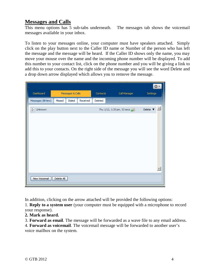#### **Messages and Calls**

This menu options has 5 sub-tabs underneath. The messages tab shows the voicemail messages available in your inbox.

To listen to your messages online, your computer must have speakers attached. Simply click on the play button next to the Caller ID name or Number of the person who has left the message and the message will be heard. If the Caller ID shows only the name, you may move your mouse over the name and the incoming phone number will be displayed. To add this number to your contact list, click on the phone number and you will be giving a link to add this to your contacts. On the right side of the message you will see the word Delete and a drop down arrow displayed which allows you to remove the message.

| Dashboard        |            | Messages & Calls |          | Contacts: | Call Manager               | ≎<br>Settings                           |
|------------------|------------|------------------|----------|-----------|----------------------------|-----------------------------------------|
| Messages (O New) | Missed     | Dialed           | Received | Deleted   |                            |                                         |
| Unknown<br>D     |            |                  |          |           | Thu 1/12, 1:35 pm, 53 secs | Delete $\blacktriangledown$ $\triangle$ |
|                  |            |                  |          |           |                            |                                         |
|                  |            |                  |          |           |                            |                                         |
|                  |            |                  |          |           |                            |                                         |
|                  |            |                  |          |           |                            |                                         |
|                  |            |                  |          |           |                            |                                         |
|                  |            |                  |          |           |                            |                                         |
| New Voicemail    | Delete All |                  |          |           |                            |                                         |

In addition, clicking on the arrow attached will be provided the following options: 1. **Reply to a system user** (your computer must be equipped with a microphone to record your response).

- **2. Mark as heard.**
- 3. **Forward as email**. The message will be forwarded as a wave file to any email address.

4. **Forward as voicemail**. The voicemail message will be forwarded to another user's voice mailbox on the system.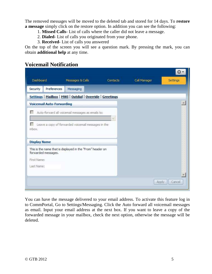The removed messages will be moved to the deleted tab and stored for 14 days. To **restore a message** simply click on the restore option. In addition you can see the following:

- 1. **Missed Calls** List of calls where the caller did not leave a message.
- 2. **Dialed** List of calls you originated from your phone.
- 3. **Received** List of calls you answered

On the top of the screen you will see a question mark. By pressing the mark, you can obtain **additional help** at any time.

#### **Voicemail Notification**

| Dashboard<br><b>Preferences</b><br>Security                                       | Messages & Calls<br>Messaging                              | <b>Contacts</b> | Call Manager | Settings |
|-----------------------------------------------------------------------------------|------------------------------------------------------------|-----------------|--------------|----------|
|                                                                                   | Settings   Mailbox   MWI   Outdial   Override   Greetings  |                 |              |          |
| <b>Voicemail Auto-Forwarding</b>                                                  |                                                            |                 |              |          |
|                                                                                   | Auto-forward all voicemail messages as emails to:          |                 |              |          |
|                                                                                   |                                                            |                 |              |          |
|                                                                                   |                                                            |                 |              |          |
|                                                                                   | Leave a copy of forwarded voicemail messages in the        |                 |              |          |
|                                                                                   |                                                            |                 |              |          |
|                                                                                   |                                                            |                 |              |          |
|                                                                                   | This is the name that is displayed in the "From" header on |                 |              |          |
|                                                                                   |                                                            |                 |              |          |
|                                                                                   |                                                            |                 |              |          |
| inbox.<br><b>Display Name</b><br>forwarded messages.<br>First Name:<br>Last Name: |                                                            |                 |              |          |

You can have the message delivered to your email address. To activate this feature log in to CommPortal, Go to Settings/Messaging. Click the Auto forward all voicemail messages as email. Input your email address at the next box. If you want to leave a copy of the forwarded message in your mailbox, check the next option, otherwise the message will be deleted.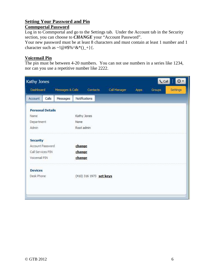#### **Setting Your Password and Pin**

#### **Commportal Password**

Log in to Commportal and go to the Settings tab. Under the Account tab in the Security section, you can choose to *CHANGE* your "Account Password".

Your new password must be at least 8 characters and must contain at least 1 number and 1 character such as  $\sim !@#\$% \hat{\alpha}*( )_+ \}$ .

#### **Voicemail Pin**

The pin must be between 4-20 numbers. You can not use numbers in a series like 1234, nor can you use a repetitive number like 2222.

|                         | Dashboard | Messages & Calls |            | Contacts                | Call Manager | Apps: | Groups, | Settings |
|-------------------------|-----------|------------------|------------|-------------------------|--------------|-------|---------|----------|
| Account                 | Calls     | Messages         |            | Notifications           |              |       |         |          |
| <b>Personal Details</b> |           |                  |            |                         |              |       |         |          |
| Name                    |           |                  |            | Kathy Jones             |              |       |         |          |
| Department              |           |                  | None       |                         |              |       |         |          |
| Admin                   |           |                  | Root admin |                         |              |       |         |          |
| <b>Security</b>         |           |                  |            |                         |              |       |         |          |
| Account Password        |           |                  | change     |                         |              |       |         |          |
| Call Services PIN       |           |                  | change     |                         |              |       |         |          |
| Voicemail PIN           |           |                  | change     |                         |              |       |         |          |
| <b>Devices</b>          |           |                  |            |                         |              |       |         |          |
| Desk Phone              |           |                  |            | (410) 316 1973 set keys |              |       |         |          |